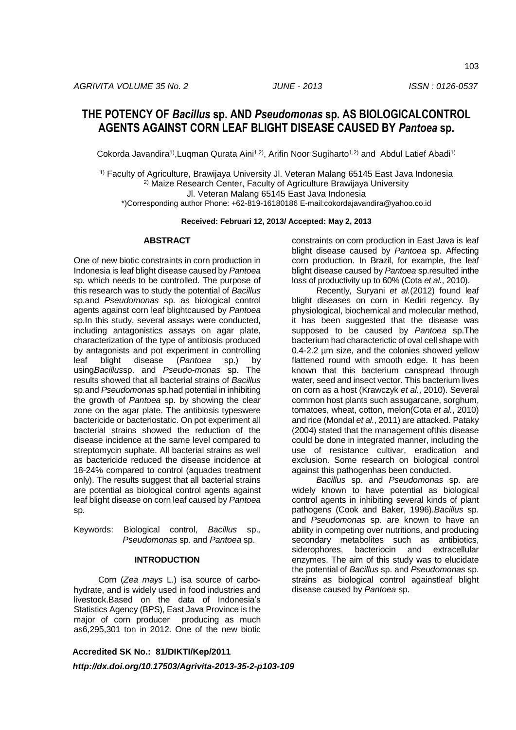# **THE POTENCY OF** *Bacillus* **sp. AND** *Pseudomonas* **sp. AS BIOLOGICALCONTROL AGENTS AGAINST CORN LEAF BLIGHT DISEASE CAUSED BY** *Pantoea* **sp.**

Cokorda Javandira<sup>1)</sup>,Luqman Qurata Aini<sup>1,2)</sup>, Arifin Noor Sugiharto<sup>1,2)</sup> and Abdul Latief Abadi<sup>1)</sup>

1) Faculty of Agriculture, Brawijaya University Jl. Veteran Malang 65145 East Java Indonesia 2) Maize Research Center, Faculty of Agriculture Brawijaya University Jl. Veteran Malang 65145 East Java Indonesia \*)Corresponding author Phone: +62-819-16180186 E-mail:cokordajavandira@yahoo.co.id

**Received: Februari 12, 2013/ Accepted: May 2, 2013**

## **ABSTRACT**

One of new biotic constraints in corn production in Indonesia is leaf blight disease caused by *Pantoea*  sp*.* which needs to be controlled. The purpose of this research was to study the potential of *Bacillus*  sp.and *Pseudomonas* sp. as biological control agents against corn leaf blightcaused by *Pantoea*  sp.In this study, several assays were conducted, including antagonistics assays on agar plate, characterization of the type of antibiosis produced by antagonists and pot experiment in controlling leaf blight disease (*Pantoea* sp.) by using*Bacillus*sp. and *Pseudo-monas* sp. The results showed that all bacterial strains of *Bacillus* sp.and *Pseudomonas* sp.had potential in inhibiting the growth of *Pantoea* sp. by showing the clear zone on the agar plate. The antibiosis typeswere bactericide or bacteriostatic. On pot experiment all bacterial strains showed the reduction of the disease incidence at the same level compared to streptomycin suphate. All bacterial strains as well as bactericide reduced the disease incidence at 18-24% compared to control (aquades treatment only). The results suggest that all bacterial strains are potential as biological control agents against leaf blight disease on corn leaf caused by *Pantoea*  sp.

Keywords: Biological control, *Bacillus* sp.*, Pseudomonas* sp. and *Pantoea* sp.

#### **INTRODUCTION**

Corn (*Zea mays* L.) isa source of carbohydrate, and is widely used in food industries and livestock.Based on the data of Indonesia's Statistics Agency (BPS), East Java Province is the major of corn producer producing as much as6,295,301 ton in 2012. One of the new biotic

**Accredited SK No.: 81/DIKTI/Kep/2011** *http://dx.doi.org/10.17503/Agrivita-2013-35-2-p103-109*

constraints on corn production in East Java is leaf blight disease caused by *Pantoea* sp. Affecting corn production. In Brazil, for example, the leaf blight disease caused by *Pantoea* sp.resulted inthe loss of productivity up to 60% (Cota *et al.*, 2010).

Recently, Suryani *et al.*(2012) found leaf blight diseases on corn in Kediri regency. By physiological, biochemical and molecular method, it has been suggested that the disease was supposed to be caused by *Pantoea* sp.The bacterium had characterictic of oval cell shape with 0.4-2.2 µm size, and the colonies showed yellow flattened round with smooth edge. It has been known that this bacterium canspread through water, seed and insect vector. This bacterium lives on corn as a host (Krawczyk *et al.*, 2010). Several common host plants such assugarcane, sorghum, tomatoes, wheat, cotton, melon(Cota *et al.*, 2010) and rice (Mondal *et al.*, 2011) are attacked. Pataky (2004) stated that the management ofthis disease could be done in integrated manner, including the use of resistance cultivar, eradication and exclusion. Some research on biological control against this pathogenhas been conducted.

*Bacillus* sp. and *Pseudomonas* sp. are widely known to have potential as biological control agents in inhibiting several kinds of plant pathogens (Cook and Baker, 1996).*Bacillus* sp. and *Pseudomonas* sp. are known to have an ability in competing over nutritions, and producing secondary metabolites such as antibiotics, siderophores, bacteriocin and extracellular enzymes. The aim of this study was to elucidate the potential of *Bacillus* sp. and *Pseudomonas* sp. strains as biological control againstleaf blight disease caused by *Pantoea* sp.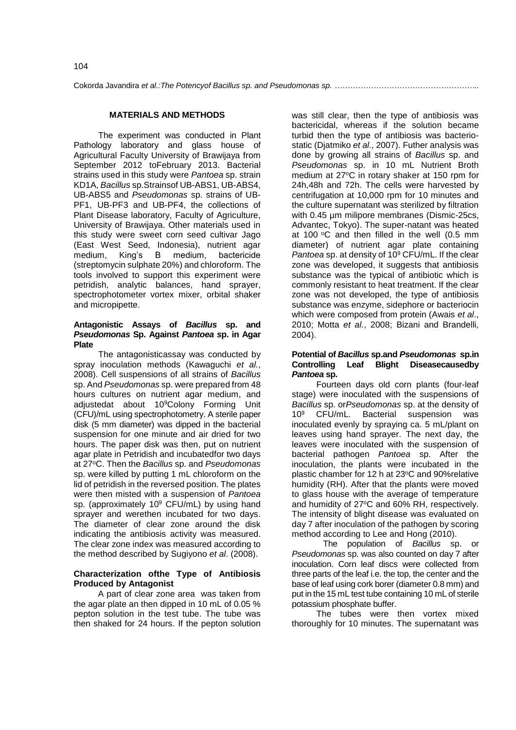#### **MATERIALS AND METHODS**

The experiment was conducted in Plant Pathology laboratory and glass house of Agricultural Faculty University of Brawijaya from September 2012 toFebruary 2013. Bacterial strains used in this study were *Pantoea* sp. strain KD1A, *Bacillus* sp.Strainsof UB-ABS1, UB-ABS4, UB-ABS5 and *Pseudomonas* sp. strains of UB-PF1, UB-PF3 and UB-PF4, the collections of Plant Disease laboratory, Faculty of Agriculture, University of Brawijaya. Other materials used in this study were sweet corn seed cultivar Jago (East West Seed, Indonesia), nutrient agar medium, King's B medium, bactericide (streptomycin sulphate 20%) and chloroform. The tools involved to support this experiment were petridish, analytic balances, hand sprayer, spectrophotometer vortex mixer, orbital shaker and micropipette.

# **Antagonistic Assays of** *Bacillus* **sp. and** *Pseudomonas* **Sp. Against** *Pantoea s***p. in Agar Plate**

The antagonisticassay was conducted by spray inoculation methods (Kawaguchi *et al.*, 2008). Cell suspensions of all strains of *Bacillus*  sp. And *Pseudomonas* sp. were prepared from 48 hours cultures on nutrient agar medium, and adjustedat about 10<sup>9</sup>Colony Forming Unit (CFU)/mL using spectrophotometry. A sterile paper disk (5 mm diameter) was dipped in the bacterial suspension for one minute and air dried for two hours. The paper disk was then, put on nutrient agar plate in Petridish and incubatedfor two days at 27<sup>o</sup>C. Then the *Bacillus* sp. and *Pseudomonas*  sp. were killed by putting 1 mL chloroform on the lid of petridish in the reversed position. The plates were then misted with a suspension of *Pantoea* sp. (approximately 10<sup>9</sup> CFU/mL) by using hand sprayer and werethen incubated for two days. The diameter of clear zone around the disk indicating the antibiosis activity was measured. The clear zone index was measured according to the method described by Sugiyono *et al*. (2008).

### **Characterization ofthe Type of Antibiosis Produced by Antagonist**

A part of clear zone area was taken from the agar plate an then dipped in 10 mL of 0.05 % pepton solution in the test tube. The tube was then shaked for 24 hours. If the pepton solution

was still clear, then the type of antibiosis was bactericidal, whereas if the solution became turbid then the type of antibiosis was bacteriostatic (Djatmiko *et al*., 2007). Futher analysis was done by growing all strains of *Bacillus* sp. and *Pseudomonas* sp. in 10 mL Nutrient Broth medium at 27°C in rotary shaker at 150 rpm for 24h,48h and 72h. The cells were harvested by centrifugation at 10,000 rpm for 10 minutes and the culture supernatant was sterilized by filtration with 0.45 µm milipore membranes (Dismic-25cs, Advantec, Tokyo). The super-natant was heated at 100  $\degree$ C and then filled in the well (0.5 mm diameter) of nutrient agar plate containing *Pantoea* sp. at density of 10<sup>9</sup> CFU/mL. If the clear zone was developed, it suggests that antibiosis substance was the typical of antibiotic which is commonly resistant to heat treatment. If the clear zone was not developed, the type of antibiosis substance was enzyme, sidephore or bacteriocin which were composed from protein (Awais *et al*., 2010; Motta *et al.*, 2008; Bizani and Brandelli, 2004).

#### **Potential of** *Bacillus* **sp.and** *Pseudomonas* **sp.in Controlling Leaf Blight Diseasecausedby**  *Pantoea* **sp.**

Fourteen days old corn plants (four-leaf stage) were inoculated with the suspensions of *Bacillus* sp. or*Pseudomonas* sp. at the density of 10<sup>9</sup> CFU/mL. Bacterial suspension was inoculated evenly by spraying ca. 5 mL/plant on leaves using hand sprayer. The next day, the leaves were inoculated with the suspension of bacterial pathogen *Pantoea* sp. After the inoculation, the plants were incubated in the plastic chamber for 12 h at 23°C and 90% relative humidity (RH). After that the plants were moved to glass house with the average of temperature and humidity of 27°C and 60% RH, respectively. The intensity of blight disease was evaluated on day 7 after inoculation of the pathogen by scoring method according to Lee and Hong (2010).

The population of *Bacillus* sp. or *Pseudomonas* sp. was also counted on day 7 after inoculation. Corn leaf discs were collected from three parts of the leaf i.e. the top, the center and the base of leaf using cork borer (diameter 0.8 mm) and put in the 15 mL test tube containing 10 mL of sterile potassium phosphate buffer.

The tubes were then vortex mixed thoroughly for 10 minutes. The supernatant was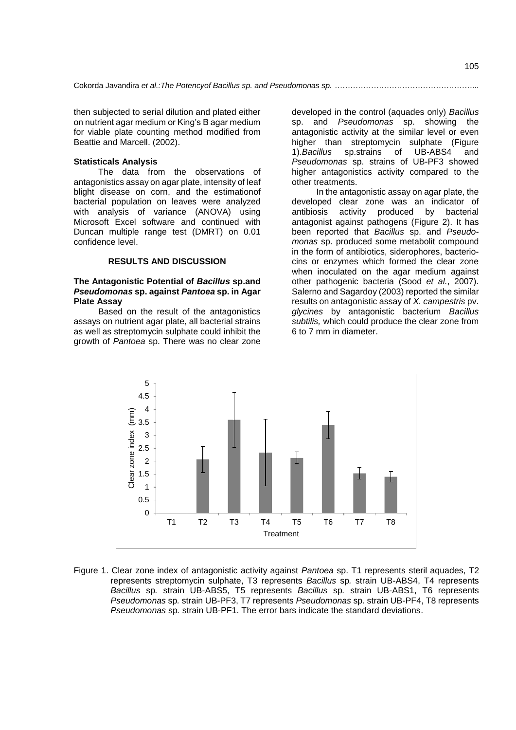then subjected to serial dilution and plated either on nutrient agar medium or King's B agar medium for viable plate counting method modified from Beattie and Marcell. (2002).

#### **Statisticals Analysis**

The data from the observations of antagonistics assay on agar plate, intensity of leaf blight disease on corn, and the estimationof bacterial population on leaves were analyzed with analysis of variance (ANOVA) using Microsoft Excel software and continued with Duncan multiple range test (DMRT) on 0.01 confidence level.

## **RESULTS AND DISCUSSION**

## **The Antagonistic Potential of** *Bacillus* **sp.and**  *Pseudomonas* **sp. against** *Pantoea* **sp. in Agar Plate Assay**

Based on the result of the antagonistics assays on nutrient agar plate, all bacterial strains as well as streptomycin sulphate could inhibit the growth of *Pantoea* sp. There was no clear zone

developed in the control (aquades only) *Bacillus* sp. and *Pseudomonas* sp. showing the antagonistic activity at the similar level or even higher than streptomycin sulphate (Figure 1). Bacillus sp.strains of UB-ABS4 and 1).*Bacillus* sp.strains of UB-ABS4 and *Pseudomonas* sp. strains of UB-PF3 showed higher antagonistics activity compared to the other treatments.

In the antagonistic assay on agar plate, the developed clear zone was an indicator of antibiosis activity produced by bacterial antagonist against pathogens (Figure 2). It has been reported that *Bacillus* sp. and *Pseudomonas* sp. produced some metabolit compound in the form of antibiotics, siderophores, bacteriocins or enzymes which formed the clear zone when inoculated on the agar medium against other pathogenic bacteria (Sood *et al.*, 2007). Salerno and Sagardoy (2003) reported the similar results on antagonistic assay of *X. campestris* pv. *glycines* by antagonistic bacterium *Bacillus subtilis,* which could produce the clear zone from 6 to 7 mm in diameter.



Figure 1. Clear zone index of antagonistic activity against *Pantoea* sp. T1 represents steril aquades, T2 represents streptomycin sulphate, T3 represents *Bacillus* sp*.* strain UB-ABS4, T4 represents *Bacillus* sp*.* strain UB-ABS5, T5 represents *Bacillus* sp*.* strain UB-ABS1, T6 represents *Pseudomonas* sp*.* strain UB-PF3, T7 represents *Pseudomonas* sp*.* strain UB-PF4, T8 represents *Pseudomonas* sp*.* strain UB-PF1. The error bars indicate the standard deviations.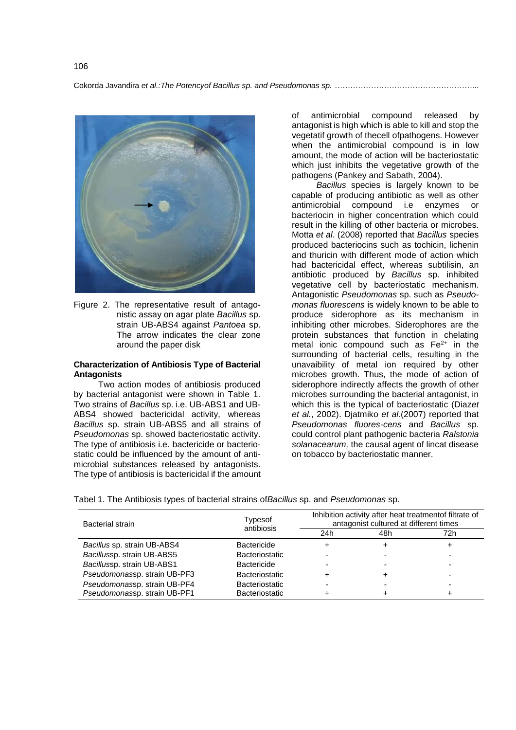

Figure 2. The representative result of antagonistic assay on agar plate *Bacillus* sp. strain UB-ABS4 against *Pantoea* sp. The arrow indicates the clear zone around the paper disk

## **Characterization of Antibiosis Type of Bacterial Antagonists**

Two action modes of antibiosis produced by bacterial antagonist were shown in Table 1. Two strains of *Bacillus* sp. i.e. UB-ABS1 and UB-ABS4 showed bactericidal activity, whereas *Bacillus* sp. strain UB-ABS5 and all strains of *Pseudomonas* sp. showed bacteriostatic activity. The type of antibiosis i.e. bactericide or bacteriostatic could be influenced by the amount of antimicrobial substances released by antagonists. The type of antibiosis is bactericidal if the amount of antimicrobial compound released by antagonist is high which is able to kill and stop the vegetatif growth of thecell ofpathogens. However when the antimicrobial compound is in low amount, the mode of action will be bacteriostatic which just inhibits the vegetative growth of the pathogens (Pankey and Sabath, 2004).

*Bacillus* species is largely known to be capable of producing antibiotic as well as other antimicrobial compound i.e enzymes or bacteriocin in higher concentration which could result in the killing of other bacteria or microbes. Motta *et al*. (2008) reported that *Bacillus* species produced bacteriocins such as tochicin, lichenin and thuricin with different mode of action which had bactericidal effect, whereas subtilisin, an antibiotic produced by *Bacillus* sp. inhibited vegetative cell by bacteriostatic mechanism. Antagonistic *Pseudomonas* sp. such as *Pseudomonas fluorescens* is widely known to be able to produce siderophore as its mechanism in inhibiting other microbes. Siderophores are the protein substances that function in chelating metal ionic compound such as  $Fe<sup>2+</sup>$  in the surrounding of bacterial cells, resulting in the unavaibility of metal ion required by other microbes growth. Thus, the mode of action of siderophore indirectly affects the growth of other microbes surrounding the bacterial antagonist, in which this is the typical of bacteriostatic (Diaz*et et al.*, 2002). Djatmiko *et al.*(2007) reported that *Pseudomonas fluores-cens* and *Bacillus* sp. could control plant pathogenic bacteria *Ralstonia solanacearum,* the causal agent of lincat disease on tobacco by bacteriostatic manner.

Tabel 1. The Antibiosis types of bacterial strains of*Bacillus* sp. and *Pseudomonas* sp.

| Bacterial strain             | Typesof<br>antibiosis | Inhibition activity after heat treatment of filtrate of<br>antagonist cultured at different times |     |     |
|------------------------------|-----------------------|---------------------------------------------------------------------------------------------------|-----|-----|
|                              |                       | 24h                                                                                               | 48h | 72h |
| Bacillus sp. strain UB-ABS4  | <b>Bactericide</b>    |                                                                                                   |     |     |
| Bacillussp. strain UB-ABS5   | <b>Bacteriostatic</b> |                                                                                                   |     |     |
| Bacillussp. strain UB-ABS1   | <b>Bactericide</b>    |                                                                                                   |     |     |
| Pseudomonassp. strain UB-PF3 | <b>Bacteriostatic</b> |                                                                                                   |     |     |
| Pseudomonassp. strain UB-PF4 | <b>Bacteriostatic</b> |                                                                                                   |     |     |
| Pseudomonassp. strain UB-PF1 | <b>Bacteriostatic</b> |                                                                                                   |     |     |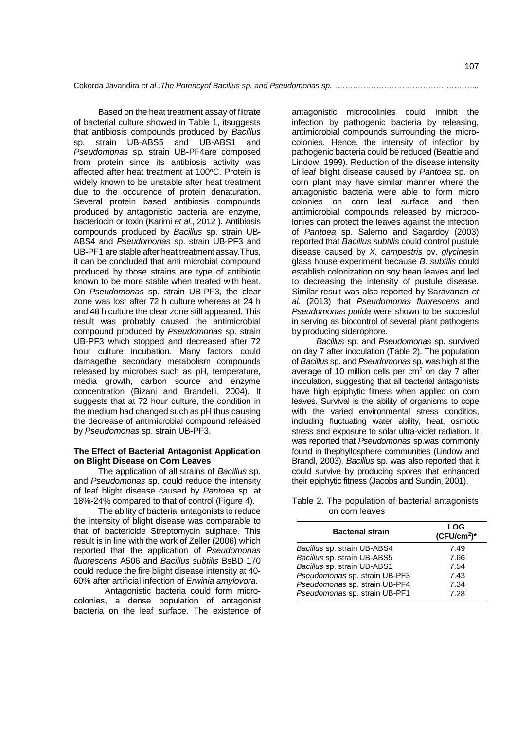Based on the heat treatment assay of filtrate of bacterial culture showed in Table 1, itsuggests that antibiosis compounds produced by *Bacillus* sp. strain UB-ABS5 and UB-ABS1 and *Pseudomonas* sp. strain UB-PF4are composed from protein since its antibiosis activity was affected after heat treatment at 100°C. Protein is widely known to be unstable after heat treatment due to the occurence of protein denaturation. Several protein based antibiosis compounds produced by antagonistic bacteria are enzyme, bacteriocin or toxin (Karimi *et al.*, 2012 ). Antibiosis compounds produced by *Bacillus* sp. strain UB-ABS4 and *Pseudomonas* sp. strain UB-PF3 and UB-PF1 are stable after heat treatment assay.Thus, it can be concluded that anti microbial compound produced by those strains are type of antibiotic known to be more stable when treated with heat. On *Pseudomonas* sp. strain UB-PF3, the clear zone was lost after 72 h culture whereas at 24 h and 48 h culture the clear zone still appeared. This result was probably caused the antimicrobial compound produced by *Pseudomonas* sp. strain UB-PF3 which stopped and decreased after 72 hour culture incubation. Many factors could damagethe secondary metabolism compounds released by microbes such as pH, temperature, media growth, carbon source and enzyme concentration (Bizani and Brandelli, 2004). It suggests that at 72 hour culture, the condition in the medium had changed such as pH thus causing the decrease of antimicrobial compound released by *Pseudomonas* sp. strain UB-PF3.

## **The Effect of Bacterial Antagonist Application on Blight Disease on Corn Leaves**

The application of all strains of *Bacillus* sp. and *Pseudomonas* sp. could reduce the intensity of leaf blight disease caused by *Pantoea* sp. at 18%-24% compared to that of control (Figure 4).

The ability of bacterial antagonists to reduce the intensity of blight disease was comparable to that of bactericide Streptomycin sulphate. This result is in line with the work of Zeller (2006) which reported that the application of *Pseudomonas fluorescens* A506 and *Bacillus subtilis* BsBD 170 could reduce the fire blight disease intensity at 40- 60% after artificial infection of *Erwinia amylovora*.

Antagonistic bacteria could form microcolonies, a dense population of antagonist bacteria on the leaf surface. The existence of

antagonistic microcolinies could inhibit the infection by pathogenic bacteria by releasing, antimicrobial compounds surrounding the microcolonies. Hence, the intensity of infection by pathogenic bacteria could be reduced (Beattie and Lindow, 1999). Reduction of the disease intensity of leaf blight disease caused by *Pantoea* sp. on corn plant may have similar manner where the antagonistic bacteria were able to form micro colonies on corn leaf surface and then antimicrobial compounds released by microcolonies can protect the leaves against the infection of *Pantoea* sp. Salerno and Sagardoy (2003) reported that *Bacillus subtilis* could control pustule disease caused by *X. campestris* pv. *glycines*in glass house experiment because *B. subtilis* could establish colonization on soy bean leaves and led to decreasing the intensity of pustule disease. Similar result was also reported by Saravanan *et al.* (2013) that *Pseudomonas fluorescens* and *Pseudomonas putida* were shown to be succesful in serving as biocontrol of several plant pathogens by producing siderophore.

*Bacillus* sp. and *Pseudomonas* sp. survived on day 7 after inoculation (Table 2). The population of *Bacillus* sp. and *Pseudomonas* sp. was high at the average of 10 million cells per cm<sup>2</sup> on day 7 after inoculation, suggesting that all bacterial antagonists have high epiphytic fitness when applied on corn leaves. Survival is the ability of organisms to cope with the varied environmental stress conditios, including fluctuating water ability, heat, osmotic stress and exposure to solar ultra-violet radiation. It was reported that *Pseudomonas* sp.was commonly found in thephyllosphere communities (Lindow and Brandl, 2003). *Bacillus* sp. was also reported that it could survive by producing spores that enhanced their epiphytic fitness (Jacobs and Sundin, 2001).

| <b>Bacterial strain</b>       | LOG<br>$(CFU/cm2)*$ |
|-------------------------------|---------------------|
| Bacillus sp. strain UB-ABS4   | 7.49                |
| Bacillus sp. strain UB-ABS5   | 7.66                |
| Bacillus sp. strain UB-ABS1   | 7.54                |
| Pseudomonas sp. strain UB-PF3 | 7.43                |
| Pseudomonas sp. strain UB-PF4 | 7.34                |
| Pseudomonas sp. strain UB-PF1 | 7.28                |

#### Table 2. The population of bacterial antagonists on corn leaves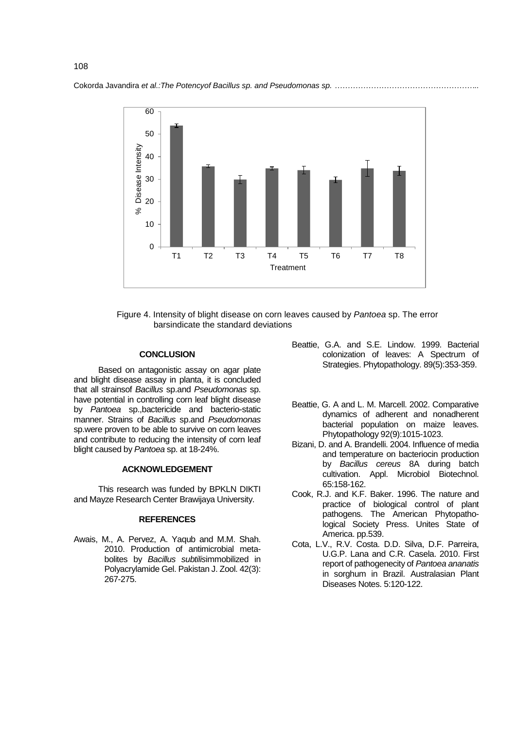

Figure 4. Intensity of blight disease on corn leaves caused by *Pantoea* sp. The error barsindicate the standard deviations

#### **CONCLUSION**

Based on antagonistic assay on agar plate and blight disease assay in planta, it is concluded that all strainsof *Bacillus* sp.and *Pseudomonas* sp. have potential in controlling corn leaf blight disease by *Pantoea* sp.,bactericide and bacterio-static manner. Strains of *Bacillus* sp.and *Pseudomonas*  sp.were proven to be able to survive on corn leaves and contribute to reducing the intensity of corn leaf blight caused by *Pantoea* sp. at 18-24%.

#### **ACKNOWLEDGEMENT**

This research was funded by BPKLN DIKTI and Mayze Research Center Brawijaya University.

# **REFERENCES**

Awais, M., A. Pervez, A. Yaqub and M.M. Shah. 2010. Production of antimicrobial metabolites by *Bacillus subtilis*immobilized in Polyacrylamide Gel. Pakistan J. Zool. 42(3): 267-275.

- Beattie, G.A. and S.E. Lindow. 1999. Bacterial colonization of leaves: A Spectrum of Strategies. Phytopathology. 89(5):353-359.
- Beattie, G. A and L. M. Marcell. 2002. Comparative dynamics of adherent and nonadherent bacterial population on maize leaves. Phytopathology 92(9):1015-1023.
- Bizani, D. and A. Brandelli. 2004. Influence of media and temperature on bacteriocin production by *Bacillus cereus* 8A during batch cultivation. Appl. Microbiol Biotechnol. 65:158-162.
- Cook, R.J. and K.F. Baker. 1996. The nature and practice of biological control of plant pathogens. The American Phytopathological Society Press. Unites State of America. pp.539.
- Cota, L.V., R.V. Costa. D.D. Silva, D.F. Parreira, U.G.P. Lana and C.R. Casela. 2010. First report of pathogenecity of *Pantoea ananatis* in sorghum in Brazil. Australasian Plant Diseases Notes. 5:120-122.